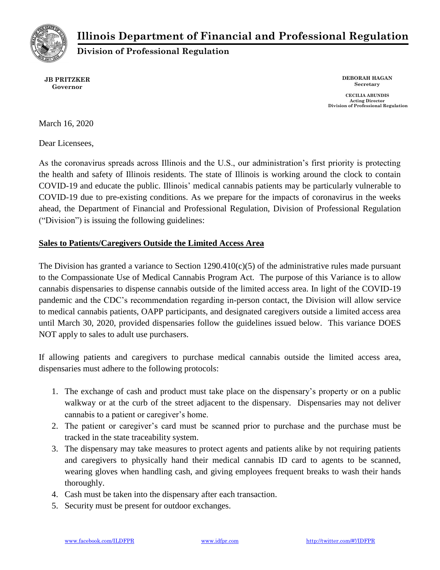

# **Illinois Department of Financial and Professional Regulation**

**Division of Professional Regulation**

**JB PRITZKER Governor**

**DEBORAH HAGAN Secretary**

**CECILIA ABUNDIS Acting Director Division of Professional Regulation**

March 16, 2020

Dear Licensees,

As the coronavirus spreads across Illinois and the U.S., our administration's first priority is protecting the health and safety of Illinois residents. The state of Illinois is working around the clock to contain COVID-19 and educate the public. Illinois' medical cannabis patients may be particularly vulnerable to COVID-19 due to pre-existing conditions. As we prepare for the impacts of coronavirus in the weeks ahead, the Department of Financial and Professional Regulation, Division of Professional Regulation ("Division") is issuing the following guidelines:

#### **Sales to Patients/Caregivers Outside the Limited Access Area**

The Division has granted a variance to Section  $1290.410(c)(5)$  of the administrative rules made pursuant to the Compassionate Use of Medical Cannabis Program Act. The purpose of this Variance is to allow cannabis dispensaries to dispense cannabis outside of the limited access area. In light of the COVID-19 pandemic and the CDC's recommendation regarding in-person contact, the Division will allow service to medical cannabis patients, OAPP participants, and designated caregivers outside a limited access area until March 30, 2020, provided dispensaries follow the guidelines issued below. This variance DOES NOT apply to sales to adult use purchasers.

If allowing patients and caregivers to purchase medical cannabis outside the limited access area, dispensaries must adhere to the following protocols:

- 1. The exchange of cash and product must take place on the dispensary's property or on a public walkway or at the curb of the street adjacent to the dispensary. Dispensaries may not deliver cannabis to a patient or caregiver's home.
- 2. The patient or caregiver's card must be scanned prior to purchase and the purchase must be tracked in the state traceability system.
- 3. The dispensary may take measures to protect agents and patients alike by not requiring patients and caregivers to physically hand their medical cannabis ID card to agents to be scanned, wearing gloves when handling cash, and giving employees frequent breaks to wash their hands thoroughly.
- 4. Cash must be taken into the dispensary after each transaction.
- 5. Security must be present for outdoor exchanges.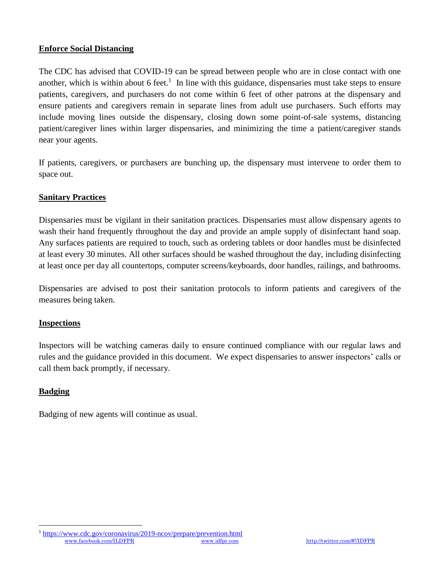## **Enforce Social Distancing**

The CDC has advised that COVID-19 can be spread between people who are in close contact with one another, which is within about 6 feet.<sup>1</sup> In line with this guidance, dispensaries must take steps to ensure patients, caregivers, and purchasers do not come within 6 feet of other patrons at the dispensary and ensure patients and caregivers remain in separate lines from adult use purchasers. Such efforts may include moving lines outside the dispensary, closing down some point-of-sale systems, distancing patient/caregiver lines within larger dispensaries, and minimizing the time a patient/caregiver stands near your agents.

If patients, caregivers, or purchasers are bunching up, the dispensary must intervene to order them to space out.

# **Sanitary Practices**

Dispensaries must be vigilant in their sanitation practices. Dispensaries must allow dispensary agents to wash their hand frequently throughout the day and provide an ample supply of disinfectant hand soap. Any surfaces patients are required to touch, such as ordering tablets or door handles must be disinfected at least every 30 minutes. All other surfaces should be washed throughout the day, including disinfecting at least once per day all countertops, computer screens/keyboards, door handles, railings, and bathrooms.

Dispensaries are advised to post their sanitation protocols to inform patients and caregivers of the measures being taken.

## **Inspections**

Inspectors will be watching cameras daily to ensure continued compliance with our regular laws and rules and the guidance provided in this document. We expect dispensaries to answer inspectors' calls or call them back promptly, if necessary.

# **Badging**

 $\overline{a}$ 

Badging of new agents will continue as usual.

[www.facebook.com/ILDFPR](https://www.facebook.com/ILDFPR) [www.idfpr.com](http://www.idfpr.com/) <http://twitter.com/#!/IDFPR> <sup>1</sup> <https://www.cdc.gov/coronavirus/2019-ncov/prepare/prevention.html>